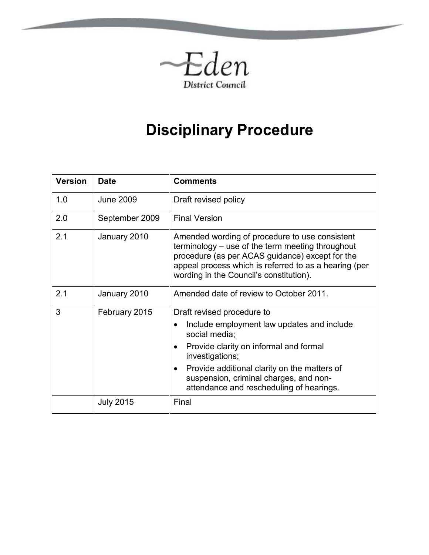

# **Disciplinary Procedure**

| <b>Version</b> | <b>Date</b>      | <b>Comments</b>                                                                                                                                                                                                                                                                                                        |  |
|----------------|------------------|------------------------------------------------------------------------------------------------------------------------------------------------------------------------------------------------------------------------------------------------------------------------------------------------------------------------|--|
| 1.0            | <b>June 2009</b> | Draft revised policy                                                                                                                                                                                                                                                                                                   |  |
| 2.0            | September 2009   | <b>Final Version</b>                                                                                                                                                                                                                                                                                                   |  |
| 2.1            | January 2010     | Amended wording of procedure to use consistent<br>terminology – use of the term meeting throughout<br>procedure (as per ACAS guidance) except for the<br>appeal process which is referred to as a hearing (per<br>wording in the Council's constitution).                                                              |  |
| 2.1            | January 2010     | Amended date of review to October 2011.                                                                                                                                                                                                                                                                                |  |
| 3              | February 2015    | Draft revised procedure to<br>Include employment law updates and include<br>social media;<br>Provide clarity on informal and formal<br>$\bullet$<br>investigations;<br>Provide additional clarity on the matters of<br>$\bullet$<br>suspension, criminal charges, and non-<br>attendance and rescheduling of hearings. |  |
|                | <b>July 2015</b> | Final                                                                                                                                                                                                                                                                                                                  |  |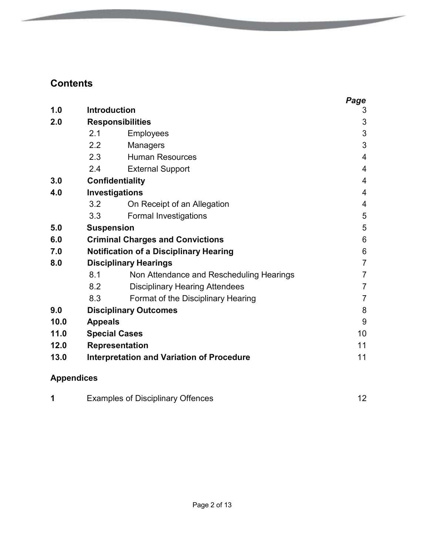# **Contents**

|                   |                                                        |                                          | Page           |
|-------------------|--------------------------------------------------------|------------------------------------------|----------------|
| 1.0               | <b>Introduction</b>                                    |                                          | 3              |
| 2.0               |                                                        | <b>Responsibilities</b>                  |                |
|                   | 2.1                                                    | <b>Employees</b>                         | 3              |
|                   | $2.2^{\circ}$                                          | <b>Managers</b>                          | 3              |
|                   | 2.3                                                    | <b>Human Resources</b>                   | $\overline{4}$ |
|                   | 2.4                                                    | <b>External Support</b>                  | 4              |
| 3.0               | <b>Confidentiality</b>                                 |                                          | 4              |
| 4.0               |                                                        | Investigations                           |                |
|                   | 3.2                                                    | On Receipt of an Allegation              | 4              |
|                   | 3.3                                                    | <b>Formal Investigations</b>             | 5              |
| 5.0               | <b>Suspension</b>                                      |                                          | 5              |
| 6.0               | <b>Criminal Charges and Convictions</b>                |                                          | 6              |
| 7.0               | <b>Notification of a Disciplinary Hearing</b>          |                                          | 6              |
| 8.0               |                                                        | <b>Disciplinary Hearings</b>             |                |
|                   | 8.1                                                    | Non Attendance and Rescheduling Hearings | $\overline{7}$ |
|                   | 8.2                                                    | <b>Disciplinary Hearing Attendees</b>    | $\overline{7}$ |
|                   | 8.3                                                    | Format of the Disciplinary Hearing       | $\overline{7}$ |
| 9.0               |                                                        | <b>Disciplinary Outcomes</b>             | 8              |
| 10.0              | <b>Appeals</b>                                         |                                          | 9              |
| 11.0              | <b>Special Cases</b>                                   |                                          | 10             |
| 12.0              | <b>Representation</b>                                  |                                          | 11             |
| 13.0              | <b>Interpretation and Variation of Procedure</b><br>11 |                                          |                |
| <b>Appendices</b> |                                                        |                                          |                |

No. of Concession, Name of Street, or other

|  | <b>Examples of Disciplinary Offences</b> |  |
|--|------------------------------------------|--|
|--|------------------------------------------|--|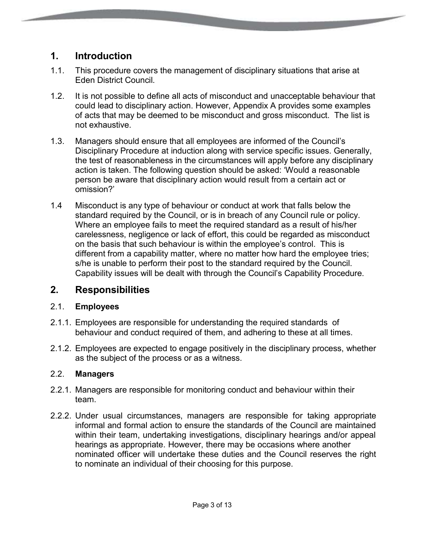# **1. Introduction**

- 1.1. This procedure covers the management of disciplinary situations that arise at Eden District Council.
- 1.2. It is not possible to define all acts of misconduct and unacceptable behaviour that could lead to disciplinary action. However, Appendix A provides some examples of acts that may be deemed to be misconduct and gross misconduct. The list is not exhaustive.
- 1.3. Managers should ensure that all employees are informed of the Council's Disciplinary Procedure at induction along with service specific issues. Generally, the test of reasonableness in the circumstances will apply before any disciplinary action is taken. The following question should be asked: 'Would a reasonable person be aware that disciplinary action would result from a certain act or omission?'
- 1.4 Misconduct is any type of behaviour or conduct at work that falls below the standard required by the Council, or is in breach of any Council rule or policy. Where an employee fails to meet the required standard as a result of his/her carelessness, negligence or lack of effort, this could be regarded as misconduct on the basis that such behaviour is within the employee's control. This is different from a capability matter, where no matter how hard the employee tries; s/he is unable to perform their post to the standard required by the Council. Capability issues will be dealt with through the Council's Capability Procedure.

## **2. Responsibilities**

#### 2.1. **Employees**

- 2.1.1. Employees are responsible for understanding the required standards of behaviour and conduct required of them, and adhering to these at all times.
- 2.1.2. Employees are expected to engage positively in the disciplinary process, whether as the subject of the process or as a witness.

#### 2.2. **Managers**

- 2.2.1. Managers are responsible for monitoring conduct and behaviour within their team.
- 2.2.2. Under usual circumstances, managers are responsible for taking appropriate informal and formal action to ensure the standards of the Council are maintained within their team, undertaking investigations, disciplinary hearings and/or appeal hearings as appropriate. However, there may be occasions where another nominated officer will undertake these duties and the Council reserves the right to nominate an individual of their choosing for this purpose.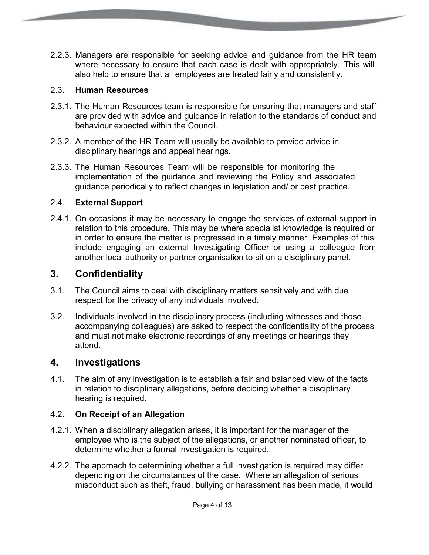2.2.3. Managers are responsible for seeking advice and guidance from the HR team where necessary to ensure that each case is dealt with appropriately. This will also help to ensure that all employees are treated fairly and consistently.

#### 2.3. **Human Resources**

- 2.3.1. The Human Resources team is responsible for ensuring that managers and staff are provided with advice and guidance in relation to the standards of conduct and behaviour expected within the Council.
- 2.3.2. A member of the HR Team will usually be available to provide advice in disciplinary hearings and appeal hearings.
- 2.3.3. The Human Resources Team will be responsible for monitoring the implementation of the guidance and reviewing the Policy and associated guidance periodically to reflect changes in legislation and/ or best practice.

#### 2.4. **External Support**

2.4.1. On occasions it may be necessary to engage the services of external support in relation to this procedure. This may be where specialist knowledge is required or in order to ensure the matter is progressed in a timely manner. Examples of this include engaging an external Investigating Officer or using a colleague from another local authority or partner organisation to sit on a disciplinary panel.

#### **3. Confidentiality**

- 3.1. The Council aims to deal with disciplinary matters sensitively and with due respect for the privacy of any individuals involved.
- 3.2. Individuals involved in the disciplinary process (including witnesses and those accompanying colleagues) are asked to respect the confidentiality of the process and must not make electronic recordings of any meetings or hearings they attend.

#### **4. Investigations**

4.1. The aim of any investigation is to establish a fair and balanced view of the facts in relation to disciplinary allegations, before deciding whether a disciplinary hearing is required.

#### 4.2. **On Receipt of an Allegation**

- 4.2.1. When a disciplinary allegation arises, it is important for the manager of the employee who is the subject of the allegations, or another nominated officer, to determine whether a formal investigation is required.
- 4.2.2. The approach to determining whether a full investigation is required may differ depending on the circumstances of the case. Where an allegation of serious misconduct such as theft, fraud, bullying or harassment has been made, it would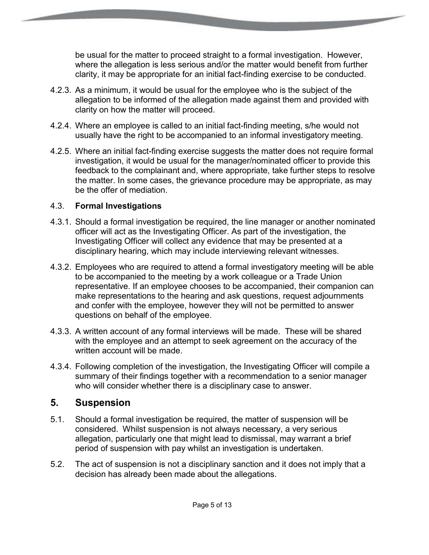be usual for the matter to proceed straight to a formal investigation. However, where the allegation is less serious and/or the matter would benefit from further clarity, it may be appropriate for an initial fact-finding exercise to be conducted.

- 4.2.3. As a minimum, it would be usual for the employee who is the subject of the allegation to be informed of the allegation made against them and provided with clarity on how the matter will proceed.
- 4.2.4. Where an employee is called to an initial fact-finding meeting, s/he would not usually have the right to be accompanied to an informal investigatory meeting.
- 4.2.5. Where an initial fact-finding exercise suggests the matter does not require formal investigation, it would be usual for the manager/nominated officer to provide this feedback to the complainant and, where appropriate, take further steps to resolve the matter. In some cases, the grievance procedure may be appropriate, as may be the offer of mediation.

#### 4.3. **Formal Investigations**

- 4.3.1. Should a formal investigation be required, the line manager or another nominated officer will act as the Investigating Officer. As part of the investigation, the Investigating Officer will collect any evidence that may be presented at a disciplinary hearing, which may include interviewing relevant witnesses.
- 4.3.2. Employees who are required to attend a formal investigatory meeting will be able to be accompanied to the meeting by a work colleague or a Trade Union representative. If an employee chooses to be accompanied, their companion can make representations to the hearing and ask questions, request adjournments and confer with the employee, however they will not be permitted to answer questions on behalf of the employee.
- 4.3.3. A written account of any formal interviews will be made. These will be shared with the employee and an attempt to seek agreement on the accuracy of the written account will be made.
- 4.3.4. Following completion of the investigation, the Investigating Officer will compile a summary of their findings together with a recommendation to a senior manager who will consider whether there is a disciplinary case to answer.

## **5. Suspension**

- 5.1. Should a formal investigation be required, the matter of suspension will be considered. Whilst suspension is not always necessary, a very serious allegation, particularly one that might lead to dismissal, may warrant a brief period of suspension with pay whilst an investigation is undertaken.
- 5.2. The act of suspension is not a disciplinary sanction and it does not imply that a decision has already been made about the allegations.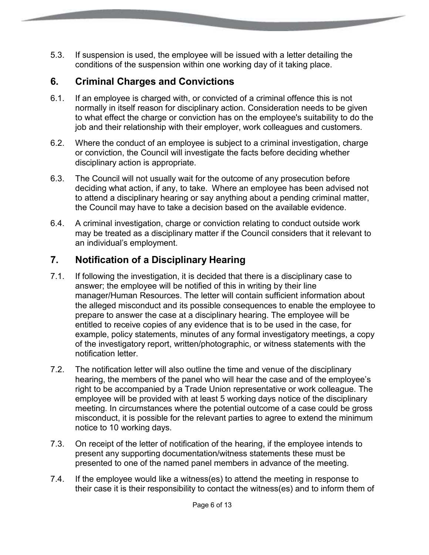5.3. If suspension is used, the employee will be issued with a letter detailing the conditions of the suspension within one working day of it taking place.

# **6. Criminal Charges and Convictions**

- 6.1. If an employee is charged with, or convicted of a criminal offence this is not normally in itself reason for disciplinary action. Consideration needs to be given to what effect the charge or conviction has on the employee's suitability to do the job and their relationship with their employer, work colleagues and customers.
- 6.2. Where the conduct of an employee is subject to a criminal investigation, charge or conviction, the Council will investigate the facts before deciding whether disciplinary action is appropriate.
- 6.3. The Council will not usually wait for the outcome of any prosecution before deciding what action, if any, to take. Where an employee has been advised not to attend a disciplinary hearing or say anything about a pending criminal matter, the Council may have to take a decision based on the available evidence.
- 6.4. A criminal investigation, charge or conviction relating to conduct outside work may be treated as a disciplinary matter if the Council considers that it relevant to an individual's employment.

# **7. Notification of a Disciplinary Hearing**

- 7.1. If following the investigation, it is decided that there is a disciplinary case to answer; the employee will be notified of this in writing by their line manager/Human Resources. The letter will contain sufficient information about the alleged misconduct and its possible consequences to enable the employee to prepare to answer the case at a disciplinary hearing. The employee will be entitled to receive copies of any evidence that is to be used in the case, for example, policy statements, minutes of any formal investigatory meetings, a copy of the investigatory report, written/photographic, or witness statements with the notification letter.
- 7.2. The notification letter will also outline the time and venue of the disciplinary hearing, the members of the panel who will hear the case and of the employee's right to be accompanied by a Trade Union representative or work colleague. The employee will be provided with at least 5 working days notice of the disciplinary meeting. In circumstances where the potential outcome of a case could be gross misconduct, it is possible for the relevant parties to agree to extend the minimum notice to 10 working days.
- 7.3. On receipt of the letter of notification of the hearing, if the employee intends to present any supporting documentation/witness statements these must be presented to one of the named panel members in advance of the meeting.
- 7.4. If the employee would like a witness(es) to attend the meeting in response to their case it is their responsibility to contact the witness(es) and to inform them of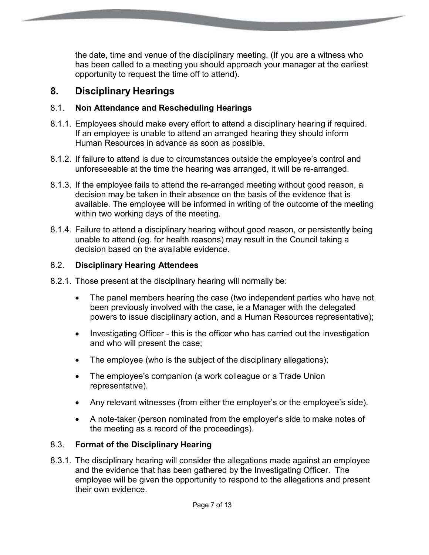the date, time and venue of the disciplinary meeting. (If you are a witness who has been called to a meeting you should approach your manager at the earliest opportunity to request the time off to attend).

# **8. Disciplinary Hearings**

#### 8.1. **Non Attendance and Rescheduling Hearings**

- 8.1.1. Employees should make every effort to attend a disciplinary hearing if required. If an employee is unable to attend an arranged hearing they should inform Human Resources in advance as soon as possible.
- 8.1.2. If failure to attend is due to circumstances outside the employee's control and unforeseeable at the time the hearing was arranged, it will be re-arranged.
- 8.1.3. If the employee fails to attend the re-arranged meeting without good reason, a decision may be taken in their absence on the basis of the evidence that is available. The employee will be informed in writing of the outcome of the meeting within two working days of the meeting.
- 8.1.4. Failure to attend a disciplinary hearing without good reason, or persistently being unable to attend (eg. for health reasons) may result in the Council taking a decision based on the available evidence.

#### 8.2. **Disciplinary Hearing Attendees**

- 8.2.1. Those present at the disciplinary hearing will normally be:
	- The panel members hearing the case (two independent parties who have not been previously involved with the case, ie a Manager with the delegated powers to issue disciplinary action, and a Human Resources representative);
	- Investigating Officer this is the officer who has carried out the investigation and who will present the case;
	- The employee (who is the subject of the disciplinary allegations);
	- The employee's companion (a work colleague or a Trade Union representative).
	- Any relevant witnesses (from either the employer's or the employee's side).
	- A note-taker (person nominated from the employer's side to make notes of the meeting as a record of the proceedings).

## 8.3. **Format of the Disciplinary Hearing**

8.3.1. The disciplinary hearing will consider the allegations made against an employee and the evidence that has been gathered by the Investigating Officer. The employee will be given the opportunity to respond to the allegations and present their own evidence.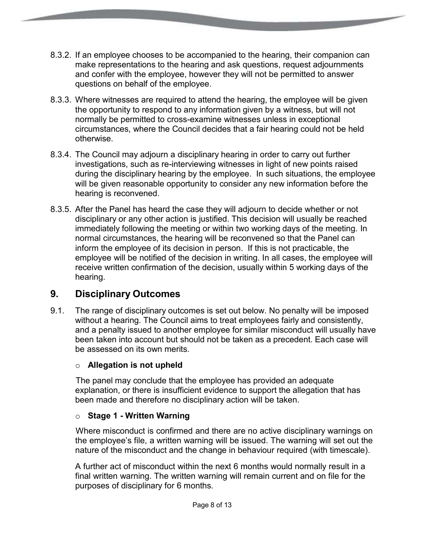- 8.3.2. If an employee chooses to be accompanied to the hearing, their companion can make representations to the hearing and ask questions, request adjournments and confer with the employee, however they will not be permitted to answer questions on behalf of the employee.
- 8.3.3. Where witnesses are required to attend the hearing, the employee will be given the opportunity to respond to any information given by a witness, but will not normally be permitted to cross-examine witnesses unless in exceptional circumstances, where the Council decides that a fair hearing could not be held otherwise.
- 8.3.4. The Council may adjourn a disciplinary hearing in order to carry out further investigations, such as re-interviewing witnesses in light of new points raised during the disciplinary hearing by the employee. In such situations, the employee will be given reasonable opportunity to consider any new information before the hearing is reconvened.
- 8.3.5. After the Panel has heard the case they will adjourn to decide whether or not disciplinary or any other action is justified. This decision will usually be reached immediately following the meeting or within two working days of the meeting. In normal circumstances, the hearing will be reconvened so that the Panel can inform the employee of its decision in person. If this is not practicable, the employee will be notified of the decision in writing. In all cases, the employee will receive written confirmation of the decision, usually within 5 working days of the hearing.

# **9. Disciplinary Outcomes**

9.1. The range of disciplinary outcomes is set out below. No penalty will be imposed without a hearing. The Council aims to treat employees fairly and consistently, and a penalty issued to another employee for similar misconduct will usually have been taken into account but should not be taken as a precedent. Each case will be assessed on its own merits.

#### o **Allegation is not upheld**

The panel may conclude that the employee has provided an adequate explanation, or there is insufficient evidence to support the allegation that has been made and therefore no disciplinary action will be taken.

#### o **Stage 1 - Written Warning**

Where misconduct is confirmed and there are no active disciplinary warnings on the employee's file, a written warning will be issued. The warning will set out the nature of the misconduct and the change in behaviour required (with timescale).

A further act of misconduct within the next 6 months would normally result in a final written warning. The written warning will remain current and on file for the purposes of disciplinary for 6 months.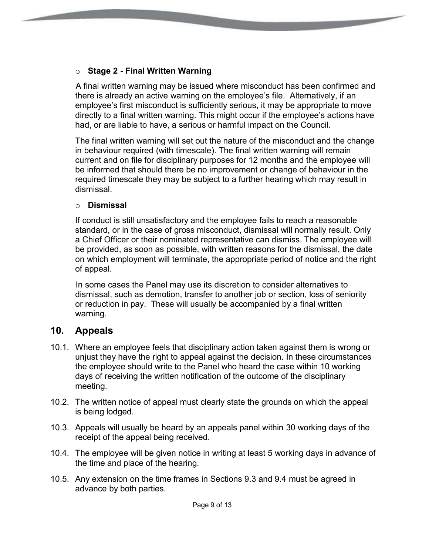#### o **Stage 2 - Final Written Warning**

A final written warning may be issued where misconduct has been confirmed and there is already an active warning on the employee's file. Alternatively, if an employee's first misconduct is sufficiently serious, it may be appropriate to move directly to a final written warning. This might occur if the employee's actions have had, or are liable to have, a serious or harmful impact on the Council.

The final written warning will set out the nature of the misconduct and the change in behaviour required (with timescale). The final written warning will remain current and on file for disciplinary purposes for 12 months and the employee will be informed that should there be no improvement or change of behaviour in the required timescale they may be subject to a further hearing which may result in dismissal.

#### o **Dismissal**

If conduct is still unsatisfactory and the employee fails to reach a reasonable standard, or in the case of gross misconduct, dismissal will normally result. Only a Chief Officer or their nominated representative can dismiss. The employee will be provided, as soon as possible, with written reasons for the dismissal, the date on which employment will terminate, the appropriate period of notice and the right of appeal.

In some cases the Panel may use its discretion to consider alternatives to dismissal, such as demotion, transfer to another job or section, loss of seniority or reduction in pay. These will usually be accompanied by a final written warning.

## **10. Appeals**

- 10.1. Where an employee feels that disciplinary action taken against them is wrong or unjust they have the right to appeal against the decision. In these circumstances the employee should write to the Panel who heard the case within 10 working days of receiving the written notification of the outcome of the disciplinary meeting.
- 10.2. The written notice of appeal must clearly state the grounds on which the appeal is being lodged.
- 10.3. Appeals will usually be heard by an appeals panel within 30 working days of the receipt of the appeal being received.
- 10.4. The employee will be given notice in writing at least 5 working days in advance of the time and place of the hearing.
- 10.5. Any extension on the time frames in Sections 9.3 and 9.4 must be agreed in advance by both parties.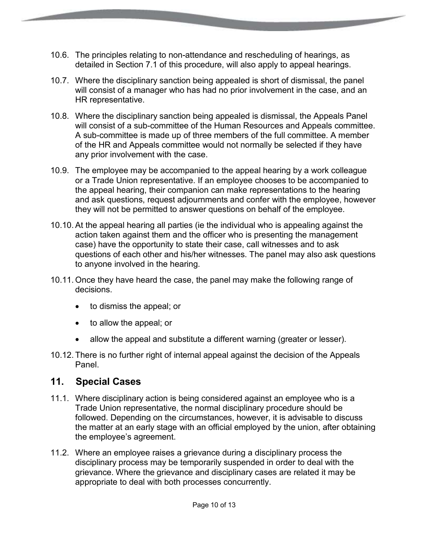- 10.6. The principles relating to non-attendance and rescheduling of hearings, as detailed in Section 7.1 of this procedure, will also apply to appeal hearings.
- 10.7. Where the disciplinary sanction being appealed is short of dismissal, the panel will consist of a manager who has had no prior involvement in the case, and an HR representative.
- 10.8. Where the disciplinary sanction being appealed is dismissal, the Appeals Panel will consist of a sub-committee of the Human Resources and Appeals committee. A sub-committee is made up of three members of the full committee. A member of the HR and Appeals committee would not normally be selected if they have any prior involvement with the case.
- 10.9. The employee may be accompanied to the appeal hearing by a work colleague or a Trade Union representative. If an employee chooses to be accompanied to the appeal hearing, their companion can make representations to the hearing and ask questions, request adjournments and confer with the employee, however they will not be permitted to answer questions on behalf of the employee.
- 10.10.At the appeal hearing all parties (ie the individual who is appealing against the action taken against them and the officer who is presenting the management case) have the opportunity to state their case, call witnesses and to ask questions of each other and his/her witnesses. The panel may also ask questions to anyone involved in the hearing.
- 10.11. Once they have heard the case, the panel may make the following range of decisions.
	- to dismiss the appeal; or
	- to allow the appeal; or
	- allow the appeal and substitute a different warning (greater or lesser).
- 10.12. There is no further right of internal appeal against the decision of the Appeals Panel.

## **11. Special Cases**

- 11.1. Where disciplinary action is being considered against an employee who is a Trade Union representative, the normal disciplinary procedure should be followed. Depending on the circumstances, however, it is advisable to discuss the matter at an early stage with an official employed by the union, after obtaining the employee's agreement.
- 11.2. Where an employee raises a grievance during a disciplinary process the disciplinary process may be temporarily suspended in order to deal with the grievance. Where the grievance and disciplinary cases are related it may be appropriate to deal with both processes concurrently.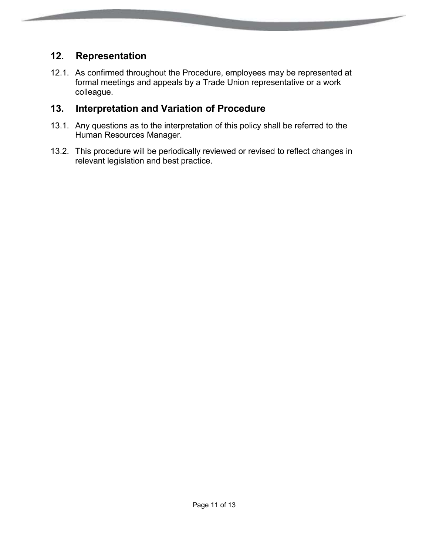#### **12. Representation**

12.1. As confirmed throughout the Procedure, employees may be represented at formal meetings and appeals by a Trade Union representative or a work colleague.

**Communication** 

## **13. Interpretation and Variation of Procedure**

- 13.1. Any questions as to the interpretation of this policy shall be referred to the Human Resources Manager.
- 13.2. This procedure will be periodically reviewed or revised to reflect changes in relevant legislation and best practice.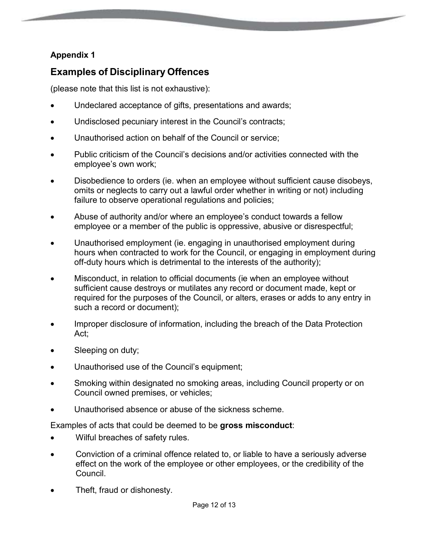#### **Appendix 1**

# **Examples of Disciplinary Offences**

(please note that this list is not exhaustive):

- Undeclared acceptance of gifts, presentations and awards;
- Undisclosed pecuniary interest in the Council's contracts;
- Unauthorised action on behalf of the Council or service;
- Public criticism of the Council's decisions and/or activities connected with the employee's own work;
- Disobedience to orders (ie. when an employee without sufficient cause disobeys, omits or neglects to carry out a lawful order whether in writing or not) including failure to observe operational regulations and policies;
- Abuse of authority and/or where an employee's conduct towards a fellow employee or a member of the public is oppressive, abusive or disrespectful;
- Unauthorised employment (ie. engaging in unauthorised employment during hours when contracted to work for the Council, or engaging in employment during off-duty hours which is detrimental to the interests of the authority);
- Misconduct, in relation to official documents (ie when an employee without sufficient cause destroys or mutilates any record or document made, kept or required for the purposes of the Council, or alters, erases or adds to any entry in such a record or document);
- Improper disclosure of information, including the breach of the Data Protection Act;
- Sleeping on duty;
- Unauthorised use of the Council's equipment;
- Smoking within designated no smoking areas, including Council property or on Council owned premises, or vehicles;
- Unauthorised absence or abuse of the sickness scheme.

Examples of acts that could be deemed to be **gross misconduct**:

- Wilful breaches of safety rules.
- Conviction of a criminal offence related to, or liable to have a seriously adverse effect on the work of the employee or other employees, or the credibility of the Council.
- Theft, fraud or dishonesty.